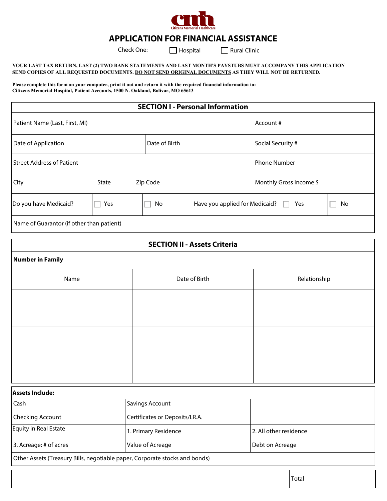

# **APPLICATION FOR FINANCIAL ASSISTANCE**

Check One:  $\Box$  Hospital  $\Box$  Rural Clinic

#### **YOUR LAST TAX RETURN, LAST (2) TWO BANK STATEMENTS AND LAST MONTH'S PAYSTUBS MUST ACCOMPANY THIS APPLICATION SEND COPIES OF ALL REQUESTED DOCUMENTS. DO NOT SEND ORIGINAL DOCUMENTS AS THEY WILL NOT BE RETURNED.**

**Please complete this form on your computer, print it out and return it with the required financial information to: Citizens Memorial Hospital, Patient Accounts, 1500 N. Oakland, Bolivar, MO 65613** 

| <b>SECTION I - Personal Information</b>   |                   |               |                                |                         |                   |    |  |  |
|-------------------------------------------|-------------------|---------------|--------------------------------|-------------------------|-------------------|----|--|--|
| Patient Name (Last, First, MI)            |                   |               |                                |                         | Account #         |    |  |  |
| Date of Application                       |                   | Date of Birth |                                |                         | Social Security # |    |  |  |
| <b>Street Address of Patient</b>          |                   |               |                                | <b>Phone Number</b>     |                   |    |  |  |
| City                                      | Zip Code<br>State |               |                                | Monthly Gross Income \$ |                   |    |  |  |
| Do you have Medicaid?                     | Yes               | No            | Have you applied for Medicaid? |                         | Yes               | No |  |  |
| Name of Guarantor (if other than patient) |                   |               |                                |                         |                   |    |  |  |

| <b>SECTION II - Assets Criteria</b>                                         |                  |                                 |                        |  |  |  |  |
|-----------------------------------------------------------------------------|------------------|---------------------------------|------------------------|--|--|--|--|
| <b>Number in Family</b>                                                     |                  |                                 |                        |  |  |  |  |
| Name                                                                        |                  | Date of Birth                   | Relationship           |  |  |  |  |
|                                                                             |                  |                                 |                        |  |  |  |  |
|                                                                             |                  |                                 |                        |  |  |  |  |
|                                                                             |                  |                                 |                        |  |  |  |  |
|                                                                             |                  |                                 |                        |  |  |  |  |
|                                                                             |                  |                                 |                        |  |  |  |  |
| <b>Assets Include:</b>                                                      |                  |                                 |                        |  |  |  |  |
| Cash                                                                        | Savings Account  |                                 |                        |  |  |  |  |
| Checking Account                                                            |                  | Certificates or Deposits/I.R.A. |                        |  |  |  |  |
| Equity in Real Estate                                                       |                  | 1. Primary Residence            | 2. All other residence |  |  |  |  |
| 3. Acreage: # of acres                                                      | Value of Acreage |                                 | Debt on Acreage        |  |  |  |  |
| Other Assets (Treasury Bills, negotiable paper, Corporate stocks and bonds) |                  |                                 |                        |  |  |  |  |

Total